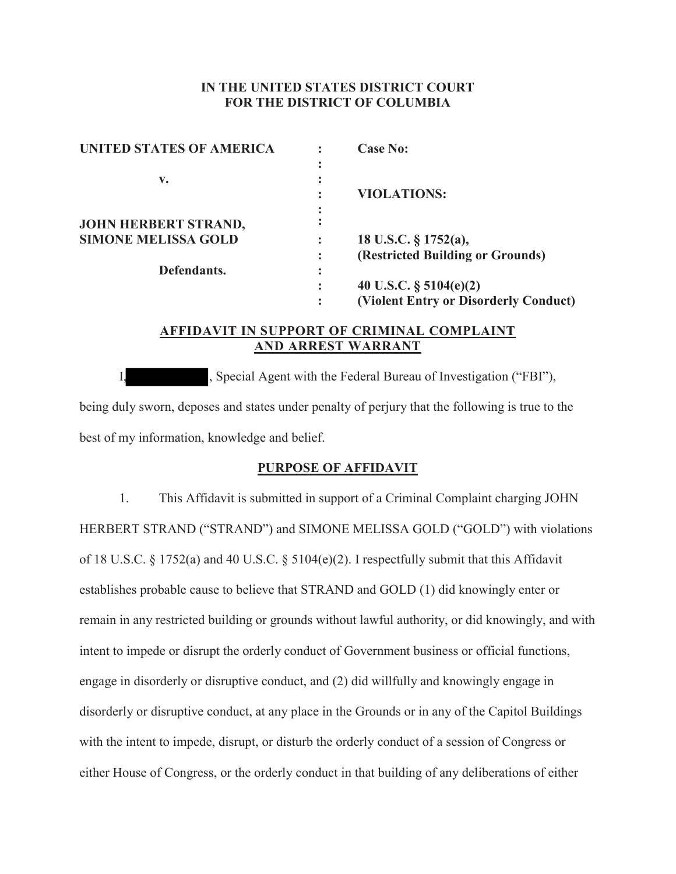## **IN THE UNITED STATES DISTRICT COURT FOR THE DISTRICT OF COLUMBIA**

| <b>UNITED STATES OF AMERICA</b> | <b>Case No:</b>                       |
|---------------------------------|---------------------------------------|
|                                 |                                       |
| v.                              |                                       |
|                                 | <b>VIOLATIONS:</b>                    |
|                                 |                                       |
| <b>JOHN HERBERT STRAND,</b>     |                                       |
| <b>SIMONE MELISSA GOLD</b>      | 18 U.S.C. § 1752(a),                  |
|                                 | (Restricted Building or Grounds)      |
| Defendants.                     |                                       |
|                                 | 40 U.S.C. $\S$ 5104(e)(2)             |
|                                 | (Violent Entry or Disorderly Conduct) |

# **AFFIDAVIT IN SUPPORT OF CRIMINAL COMPLAINT AND ARREST WARRANT**

I, Special Agent with the Federal Bureau of Investigation ("FBI"), being duly sworn, deposes and states under penalty of perjury that the following is true to the best of my information, knowledge and belief.

## **PURPOSE OF AFFIDAVIT**

1. This Affidavit is submitted in support of a Criminal Complaint charging JOHN HERBERT STRAND ("STRAND") and SIMONE MELISSA GOLD ("GOLD") with violations of 18 U.S.C. § 1752(a) and 40 U.S.C. § 5104(e)(2). I respectfully submit that this Affidavit establishes probable cause to believe that STRAND and GOLD (1) did knowingly enter or remain in any restricted building or grounds without lawful authority, or did knowingly, and with intent to impede or disrupt the orderly conduct of Government business or official functions, engage in disorderly or disruptive conduct, and (2) did willfully and knowingly engage in disorderly or disruptive conduct, at any place in the Grounds or in any of the Capitol Buildings with the intent to impede, disrupt, or disturb the orderly conduct of a session of Congress or either House of Congress, or the orderly conduct in that building of any deliberations of either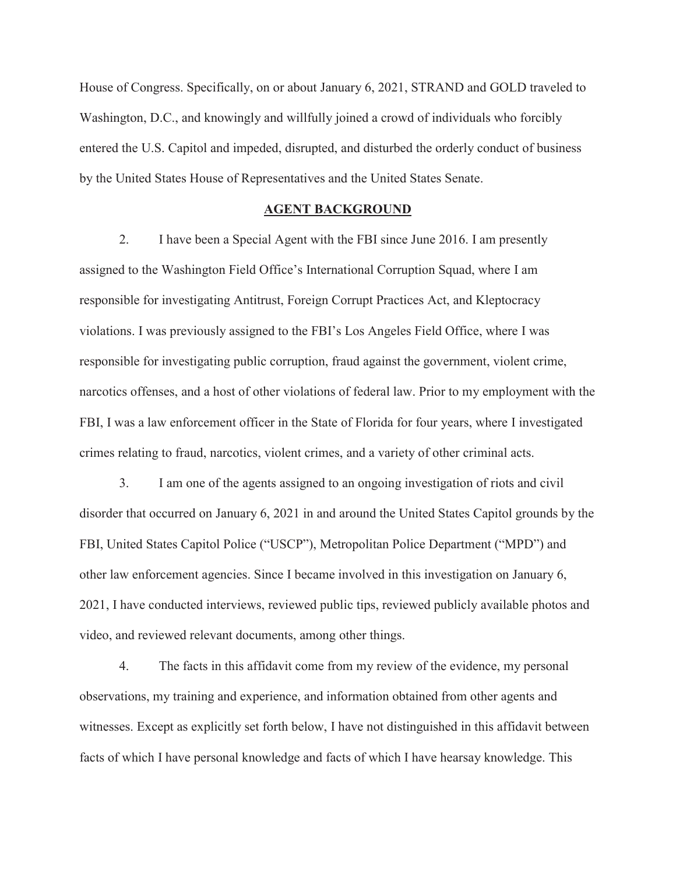House of Congress. Specifically, on or about January 6, 2021, STRAND and GOLD traveled to Washington, D.C., and knowingly and willfully joined a crowd of individuals who forcibly entered the U.S. Capitol and impeded, disrupted, and disturbed the orderly conduct of business by the United States House of Representatives and the United States Senate.

### **AGENT BACKGROUND**

2. I have been a Special Agent with the FBI since June 2016. I am presently assigned to the Washington Field Office's International Corruption Squad, where I am responsible for investigating Antitrust, Foreign Corrupt Practices Act, and Kleptocracy violations. I was previously assigned to the FBI's Los Angeles Field Office, where I was responsible for investigating public corruption, fraud against the government, violent crime, narcotics offenses, and a host of other violations of federal law. Prior to my employment with the FBI, I was a law enforcement officer in the State of Florida for four years, where I investigated crimes relating to fraud, narcotics, violent crimes, and a variety of other criminal acts.

3. I am one of the agents assigned to an ongoing investigation of riots and civil disorder that occurred on January 6, 2021 in and around the United States Capitol grounds by the FBI, United States Capitol Police ("USCP"), Metropolitan Police Department ("MPD") and other law enforcement agencies. Since I became involved in this investigation on January 6, 2021, I have conducted interviews, reviewed public tips, reviewed publicly available photos and video, and reviewed relevant documents, among other things.

4. The facts in this affidavit come from my review of the evidence, my personal observations, my training and experience, and information obtained from other agents and witnesses. Except as explicitly set forth below, I have not distinguished in this affidavit between facts of which I have personal knowledge and facts of which I have hearsay knowledge. This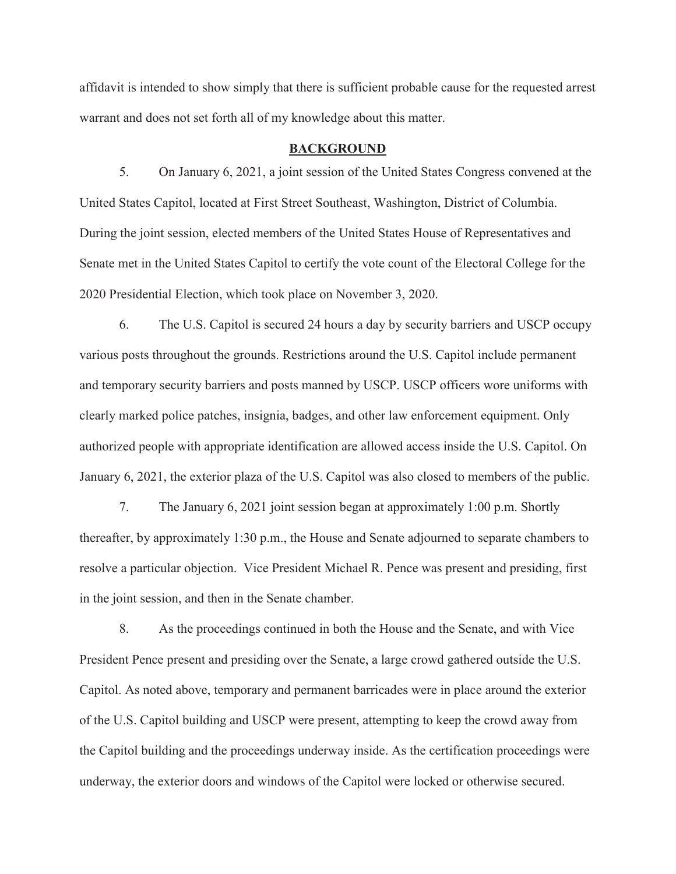affidavit is intended to show simply that there is sufficient probable cause for the requested arrest warrant and does not set forth all of my knowledge about this matter.

#### **BACKGROUND**

5. On January 6, 2021, a joint session of the United States Congress convened at the United States Capitol, located at First Street Southeast, Washington, District of Columbia. During the joint session, elected members of the United States House of Representatives and Senate met in the United States Capitol to certify the vote count of the Electoral College for the 2020 Presidential Election, which took place on November 3, 2020.

6. The U.S. Capitol is secured 24 hours a day by security barriers and USCP occupy various posts throughout the grounds. Restrictions around the U.S. Capitol include permanent and temporary security barriers and posts manned by USCP. USCP officers wore uniforms with clearly marked police patches, insignia, badges, and other law enforcement equipment. Only authorized people with appropriate identification are allowed access inside the U.S. Capitol. On January 6, 2021, the exterior plaza of the U.S. Capitol was also closed to members of the public.

7. The January 6, 2021 joint session began at approximately 1:00 p.m. Shortly thereafter, by approximately 1:30 p.m., the House and Senate adjourned to separate chambers to resolve a particular objection. Vice President Michael R. Pence was present and presiding, first in the joint session, and then in the Senate chamber.

8. As the proceedings continued in both the House and the Senate, and with Vice President Pence present and presiding over the Senate, a large crowd gathered outside the U.S. Capitol. As noted above, temporary and permanent barricades were in place around the exterior of the U.S. Capitol building and USCP were present, attempting to keep the crowd away from the Capitol building and the proceedings underway inside. As the certification proceedings were underway, the exterior doors and windows of the Capitol were locked or otherwise secured.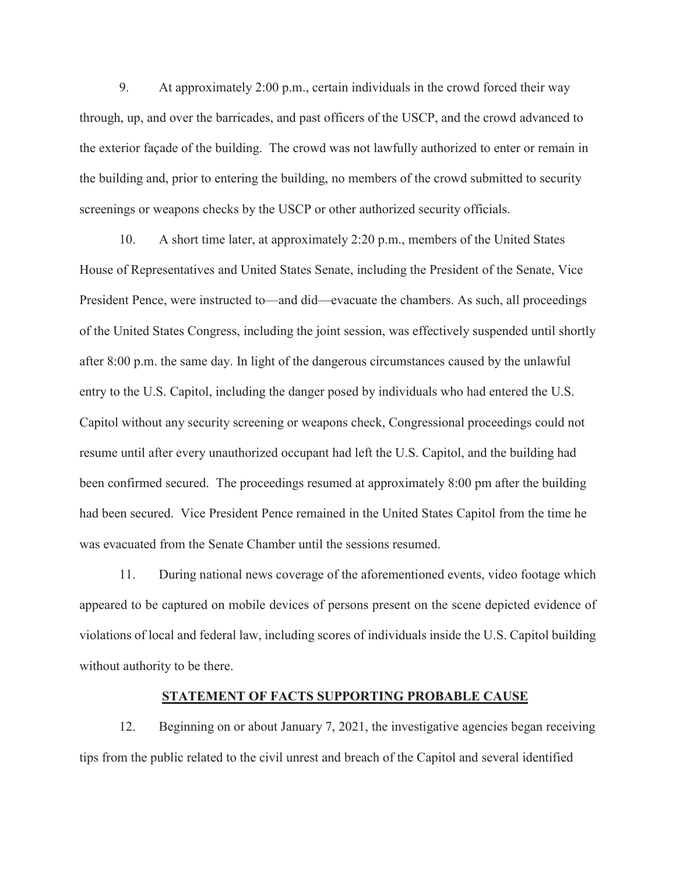9. At approximately 2:00 p.m., certain individuals in the crowd forced their way through, up, and over the barricades, and past officers of the USCP, and the crowd advanced to the exterior façade of the building. The crowd was not lawfully authorized to enter or remain in the building and, prior to entering the building, no members of the crowd submitted to security screenings or weapons checks by the USCP or other authorized security officials.

 resume until after every unauthorized occupant had left the U.S. Capitol, and the building had 10. A short time later, at approximately 2:20 p.m., members of the United States House of Representatives and United States Senate, including the President of the Senate, Vice President Pence, were instructed to—and did—evacuate the chambers. As such, all proceedings of the United States Congress, including the joint session, was effectively suspended until shortly after 8:00 p.m. the same day. In light of the dangerous circumstances caused by the unlawful entry to the U.S. Capitol, including the danger posed by individuals who had entered the U.S. Capitol without any security screening or weapons check, Congressional proceedings could not been confirmed secured. The proceedings resumed at approximately 8:00 pm after the building had been secured. Vice President Pence remained in the United States Capitol from the time he was evacuated from the Senate Chamber until the sessions resumed.

11. During national news coverage of the aforementioned events, video footage which appeared to be captured on mobile devices of persons present on the scene depicted evidence of violations of local and federal law, including scores of individuals inside the U.S. Capitol building without authority to be there.

### **STATEMENT OF FACTS SUPPORTING PROBABLE CAUSE**

12. Beginning on or about January 7, 2021, the investigative agencies began receiving tips from the public related to the civil unrest and breach of the Capitol and several identified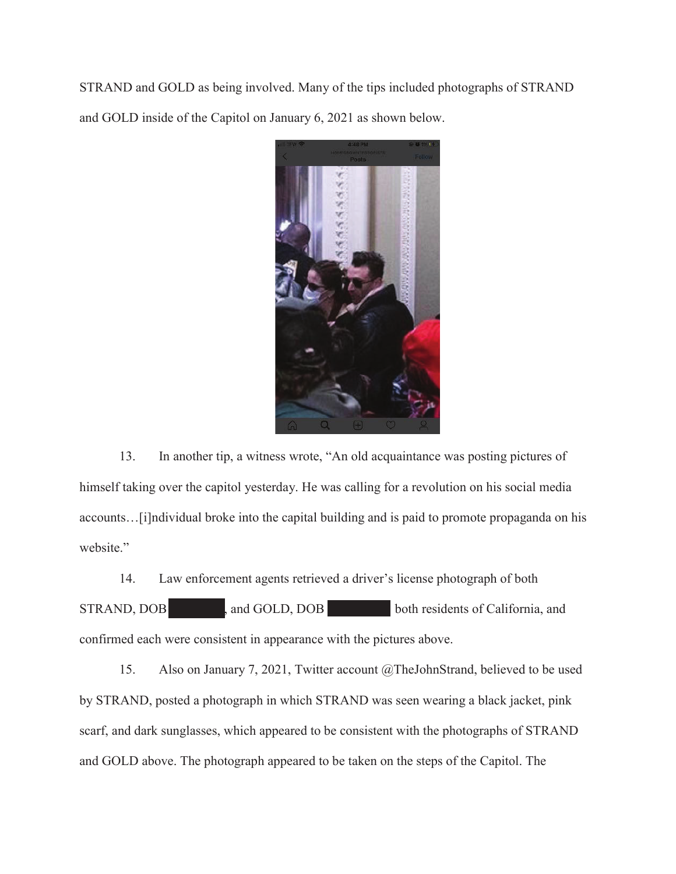STRAND and GOLD as being involved. Many of the tips included photographs of STRAND and GOLD inside of the Capitol on January 6, 2021 as shown below.



13. In another tip, a witness wrote, "An old acquaintance was posting pictures of himself taking over the capitol yesterday. He was calling for a revolution on his social media accounts…[i]ndividual broke into the capital building and is paid to promote propaganda on his website."

14. Law enforcement agents retrieved a driver's license photograph of both STRAND, DOB , and GOLD, DOB both residents of California, and confirmed each were consistent in appearance with the pictures above.

15. Also on January 7, 2021, Twitter account @TheJohnStrand, believed to be used by STRAND, posted a photograph in which STRAND was seen wearing a black jacket, pink scarf, and dark sunglasses, which appeared to be consistent with the photographs of STRAND and GOLD above. The photograph appeared to be taken on the steps of the Capitol. The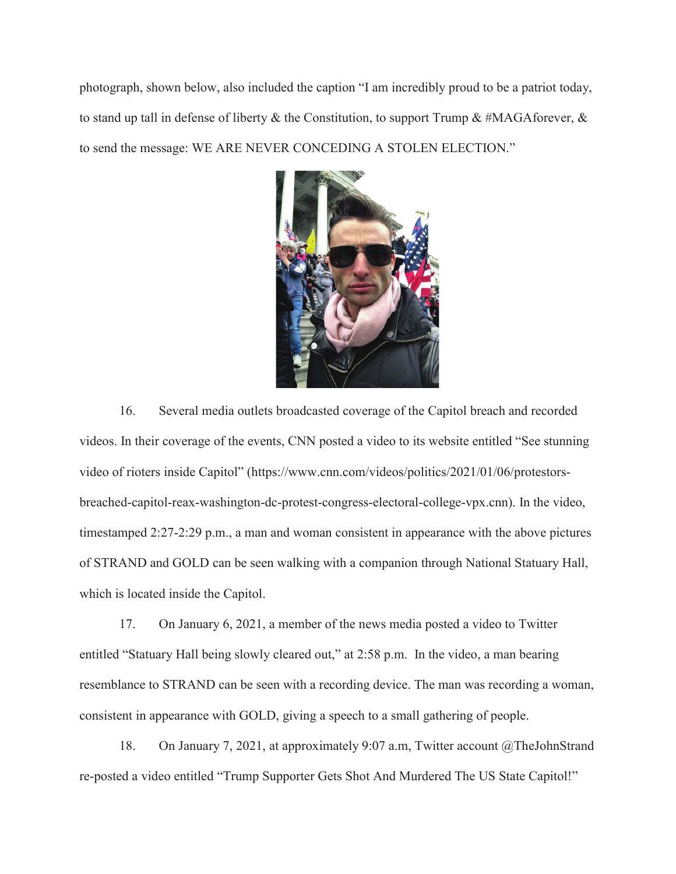photograph, shown below, also included the caption "I am incredibly proud to be a patriot today, to stand up tall in defense of liberty & the Constitution, to support Trump & #MAGAforever,  $\&$ to send the message: WE ARE NEVER CONCEDING A STOLEN ELECTION."



16. Several media outlets broadcasted coverage of the Capitol breach and recorded videos. In their coverage of the events, CNN posted a video to its website entitled "See stunning video of rioters inside Capitol" (<https://www.cnn.com/videos/politics/2021/01/06/protestors>breached-capitol-reax-washington-dc-protest-congress-electoral-college-vpx.cnn). In the video, timestamped 2:27-2:29 p.m., a man and woman consistent in appearance with the above pictures of STRAND and GOLD can be seen walking with a companion through National Statuary Hall, which is located inside the Capitol.

 consistent in appearance with GOLD, giving a speech to a small gathering of people. 17. On January 6, 2021, a member of the news media posted a video to Twitter entitled "Statuary Hall being slowly cleared out," at 2:58 p.m. In the video, a man bearing resemblance to STRAND can be seen with a recording device. The man was recording a woman,

18. On January 7, 2021, at approximately 9:07 a.m, Twitter account @TheJohnStrand re-posted a video entitled "Trump Supporter Gets Shot And Murdered The US State Capitol!"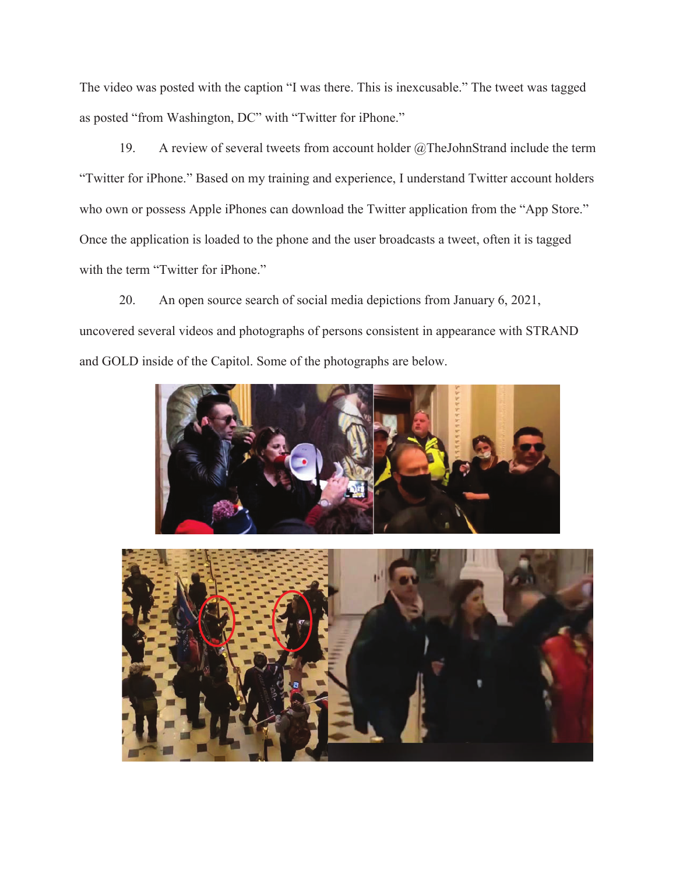The video was posted with the caption "I was there. This is inexcusable." The tweet was tagged as posted "from Washington, DC" with "Twitter for iPhone."

19. A review of several tweets from account holder @TheJohnStrand include the term "Twitter for iPhone." Based on my training and experience, I understand Twitter account holders who own or possess Apple iPhones can download the Twitter application from the "App Store." Once the application is loaded to the phone and the user broadcasts a tweet, often it is tagged with the term "Twitter for iPhone."

20. An open source search of social media depictions from January 6, 2021, uncovered several videos and photographs of persons consistent in appearance with STRAND and GOLD inside of the Capitol. Some of the photographs are below.



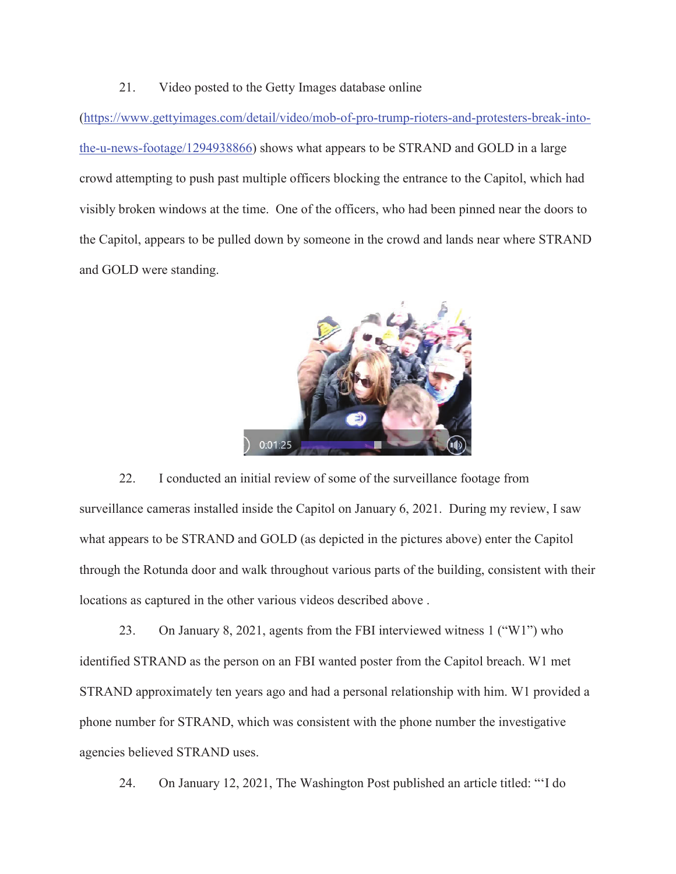### 21. Video posted to the Getty Images database online

(<https://www.gettyimages.com/detail/video/mob-of-pro-trump-rioters-and-protesters-break-into>the-u-news-footage/1294938866) shows what appears to be STRAND and GOLD in a large crowd attempting to push past multiple officers blocking the entrance to the Capitol, which had visibly broken windows at the time. One of the officers, who had been pinned near the doors to the Capitol, appears to be pulled down by someone in the crowd and lands near where STRAND and GOLD were standing.



22. I conducted an initial review of some of the surveillance footage from surveillance cameras installed inside the Capitol on January 6, 2021. During my review, I saw what appears to be STRAND and GOLD (as depicted in the pictures above) enter the Capitol through the Rotunda door and walk throughout various parts of the building, consistent with their locations as captured in the other various videos described above .

23. On January 8, 2021, agents from the FBI interviewed witness 1 ("W1") who identified STRAND as the person on an FBI wanted poster from the Capitol breach. W1 met STRAND approximately ten years ago and had a personal relationship with him. W1 provided a phone number for STRAND, which was consistent with the phone number the investigative agencies believed STRAND uses.

24. On January 12, 2021, The Washington Post published an article titled: "'I do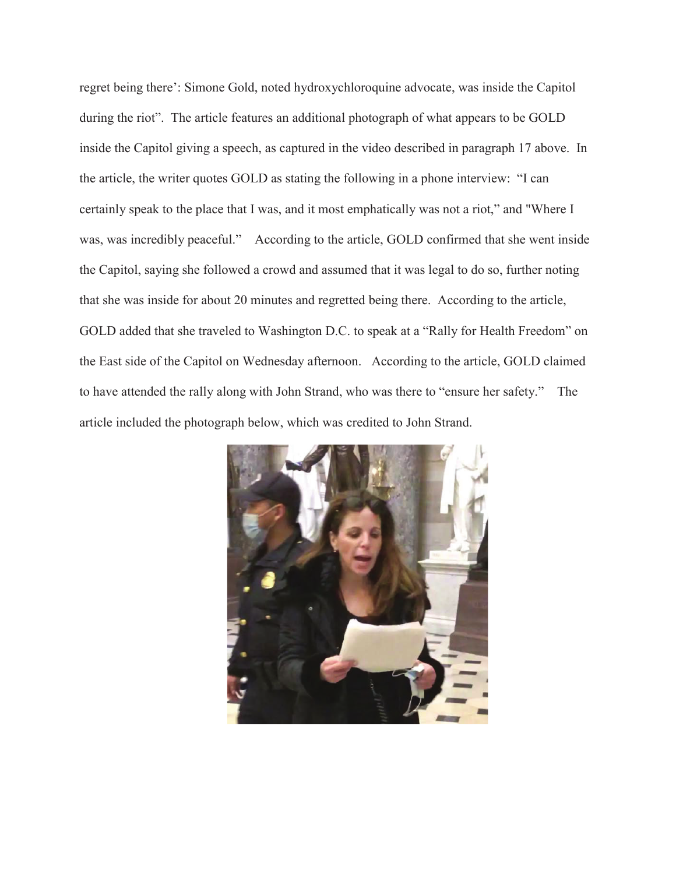certainly speak to the place that I was, and it most emphatically was not a riot," and "Where I to have attended the rally along with John Strand, who was there to "ensure her safety." The regret being there': Simone Gold, noted hydroxychloroquine advocate, was inside the Capitol during the riot". The article features an additional photograph of what appears to be GOLD inside the Capitol giving a speech, as captured in the video described in paragraph 17 above. In the article, the writer quotes GOLD as stating the following in a phone interview: "I can was, was incredibly peaceful." According to the article, GOLD confirmed that she went inside the Capitol, saying she followed a crowd and assumed that it was legal to do so, further noting that she was inside for about 20 minutes and regretted being there. According to the article, GOLD added that she traveled to Washington D.C. to speak at a "Rally for Health Freedom" on the East side of the Capitol on Wednesday afternoon. According to the article, GOLD claimed article included the photograph below, which was credited to John Strand.

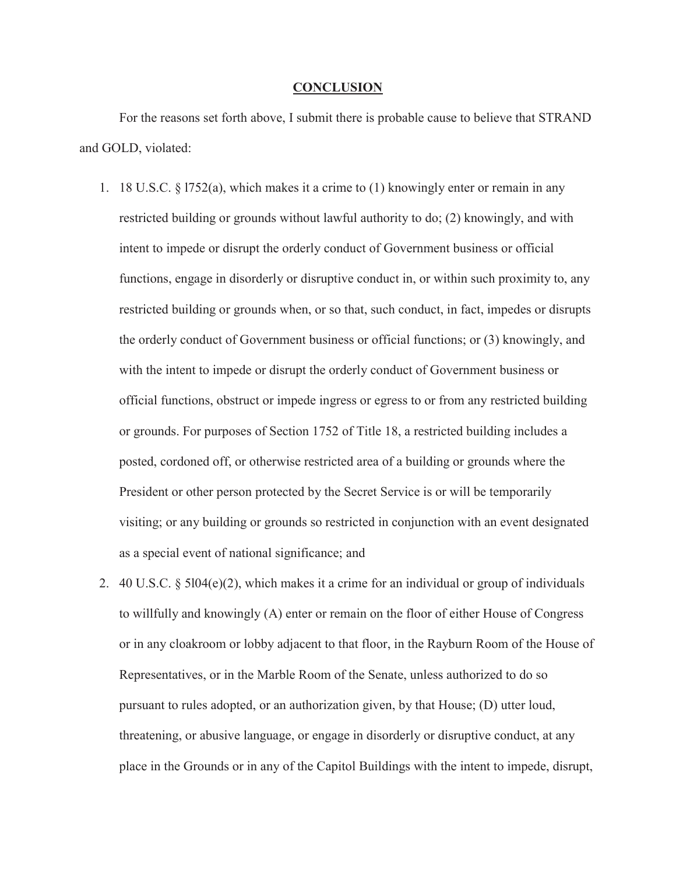#### **CONCLUSION**

For the reasons set forth above, I submit there is probable cause to believe that STRAND and GOLD, violated:

- 1. 18 U.S.C. § l752(a), which makes it a crime to (1) knowingly enter or remain in any restricted building or grounds without lawful authority to do; (2) knowingly, and with intent to impede or disrupt the orderly conduct of Government business or official functions, engage in disorderly or disruptive conduct in, or within such proximity to, any restricted building or grounds when, or so that, such conduct, in fact, impedes or disrupts the orderly conduct of Government business or official functions; or (3) knowingly, and with the intent to impede or disrupt the orderly conduct of Government business or official functions, obstruct or impede ingress or egress to or from any restricted building or grounds. For purposes of Section 1752 of Title 18, a restricted building includes a posted, cordoned off, or otherwise restricted area of a building or grounds where the President or other person protected by the Secret Service is or will be temporarily visiting; or any building or grounds so restricted in conjunction with an event designated as a special event of national significance; and
- 2. 40 U.S.C. § 5l04(e)(2), which makes it a crime for an individual or group of individuals to willfully and knowingly (A) enter or remain on the floor of either House of Congress or in any cloakroom or lobby adjacent to that floor, in the Rayburn Room of the House of Representatives, or in the Marble Room of the Senate, unless authorized to do so pursuant to rules adopted, or an authorization given, by that House; (D) utter loud, threatening, or abusive language, or engage in disorderly or disruptive conduct, at any place in the Grounds or in any of the Capitol Buildings with the intent to impede, disrupt,